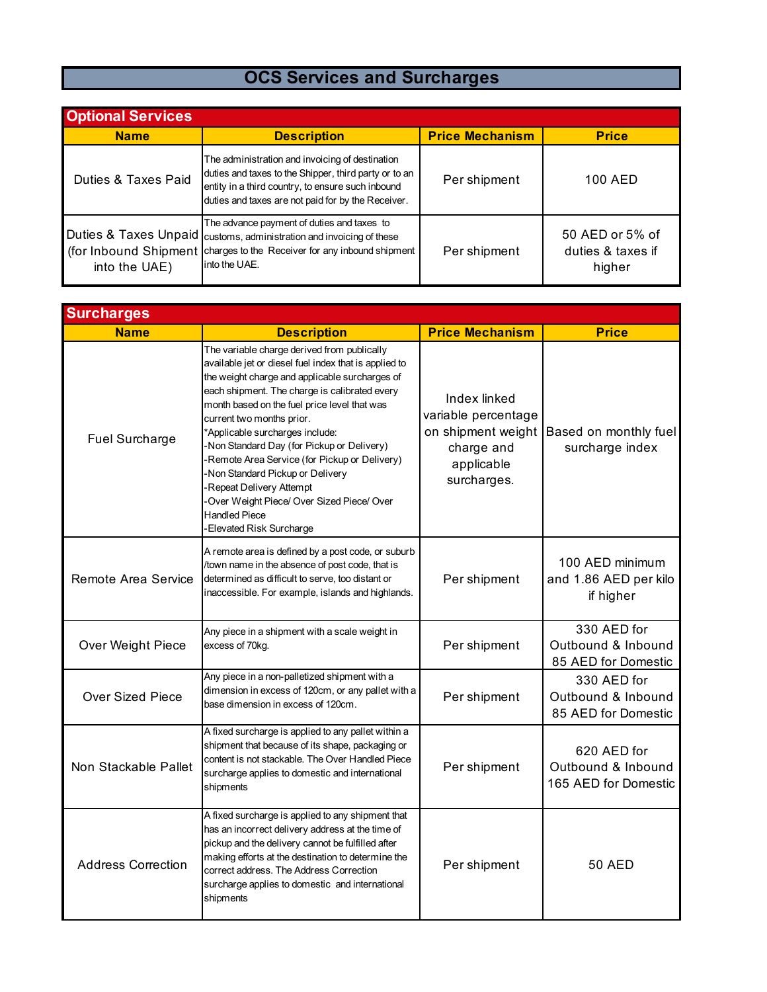## **OCS Services and Surcharges**

| <b>Optional Services</b> |                                                                                                                                                                                                                     |                        |                                                |  |  |
|--------------------------|---------------------------------------------------------------------------------------------------------------------------------------------------------------------------------------------------------------------|------------------------|------------------------------------------------|--|--|
| <b>Name</b>              | <b>Description</b>                                                                                                                                                                                                  | <b>Price Mechanism</b> | <b>Price</b>                                   |  |  |
| Duties & Taxes Paid      | The administration and invoicing of destination<br>duties and taxes to the Shipper, third party or to an<br>entity in a third country, to ensure such inbound<br>duties and taxes are not paid for by the Receiver. | Per shipment           | 100 AED                                        |  |  |
| into the UAE)            | The advance payment of duties and taxes to<br>Duties & Taxes Unpaid   customs, administration and invoicing of these<br>(for Inbound Shipment charges to the Receiver for any inbound shipment<br>into the UAE.     | Per shipment           | 50 AED or 5% of<br>duties & taxes if<br>higher |  |  |

| <b>Surcharges</b>         |                                                                                                                                                                                                                                                                                                                                                                                                                                                                                                                                                                                     |                                                                                                      |                                                           |  |  |
|---------------------------|-------------------------------------------------------------------------------------------------------------------------------------------------------------------------------------------------------------------------------------------------------------------------------------------------------------------------------------------------------------------------------------------------------------------------------------------------------------------------------------------------------------------------------------------------------------------------------------|------------------------------------------------------------------------------------------------------|-----------------------------------------------------------|--|--|
| <b>Name</b>               | <b>Description</b>                                                                                                                                                                                                                                                                                                                                                                                                                                                                                                                                                                  | <b>Price Mechanism</b>                                                                               | <b>Price</b>                                              |  |  |
| <b>Fuel Surcharge</b>     | The variable charge derived from publically<br>available jet or diesel fuel index that is applied to<br>the weight charge and applicable surcharges of<br>each shipment. The charge is calibrated every<br>month based on the fuel price level that was<br>current two months prior.<br>*Applicable surcharges include:<br>Non Standard Day (for Pickup or Delivery)<br>Remote Area Service (for Pickup or Delivery)<br>Non Standard Pickup or Delivery<br>-Repeat Delivery Attempt<br>Over Weight Piece/ Over Sized Piece/ Over<br><b>Handled Piece</b><br>Elevated Risk Surcharge | Index linked<br>variable percentage<br>on shipment weight<br>charge and<br>applicable<br>surcharges. | Based on monthly fuel<br>surcharge index                  |  |  |
| Remote Area Service       | A remote area is defined by a post code, or suburb<br>/town name in the absence of post code, that is<br>determined as difficult to serve, too distant or<br>inaccessible. For example, islands and highlands.                                                                                                                                                                                                                                                                                                                                                                      | Per shipment                                                                                         | 100 AED minimum<br>and 1.86 AED per kilo<br>if higher     |  |  |
| Over Weight Piece         | Any piece in a shipment with a scale weight in<br>excess of 70kg.                                                                                                                                                                                                                                                                                                                                                                                                                                                                                                                   | Per shipment                                                                                         | 330 AED for<br>Outbound & Inbound<br>85 AED for Domestic  |  |  |
| <b>Over Sized Piece</b>   | Any piece in a non-palletized shipment with a<br>dimension in excess of 120cm, or any pallet with a<br>base dimension in excess of 120cm.                                                                                                                                                                                                                                                                                                                                                                                                                                           | Per shipment                                                                                         | 330 AED for<br>Outbound & Inbound<br>85 AED for Domestic  |  |  |
| Non Stackable Pallet      | A fixed surcharge is applied to any pallet within a<br>shipment that because of its shape, packaging or<br>content is not stackable. The Over Handled Piece<br>surcharge applies to domestic and international<br>shipments                                                                                                                                                                                                                                                                                                                                                         | Per shipment                                                                                         | 620 AED for<br>Outbound & Inbound<br>165 AED for Domestic |  |  |
| <b>Address Correction</b> | A fixed surcharge is applied to any shipment that<br>has an incorrect delivery address at the time of<br>pickup and the delivery cannot be fulfilled after<br>making efforts at the destination to determine the<br>correct address. The Address Correction<br>surcharge applies to domestic and international<br>shipments                                                                                                                                                                                                                                                         | Per shipment                                                                                         | 50 AED                                                    |  |  |